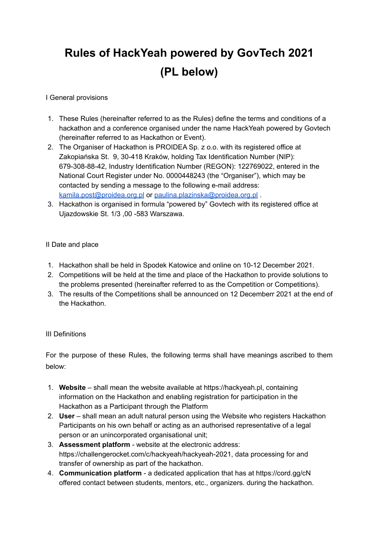# **Rules of HackYeah powered by GovTech 2021 (PL below)**

#### I General provisions

- 1. These Rules (hereinafter referred to as the Rules) define the terms and conditions of a hackathon and a conference organised under the name HackYeah powered by Govtech (hereinafter referred to as Hackathon or Event).
- 2. The Organiser of Hackathon is PROIDEA Sp. z o.o. with its registered office at Zakopiańska St. 9, 30-418 Kraków, holding Tax Identification Number (NIP): 679-308-88-42, Industry Identification Number (REGON): 122769022, entered in the National Court Register under No. 0000448243 (the "Organiser"), which may be contacted by sending a message to the following e-mail address: kamila.post@proidea.org.pl or paulina.plazinska@proidea.org.pl .
- 3. Hackathon is organised in formula "powered by" Govtech with its registered office at Ujazdowskie St. 1/3 ,00 -583 Warszawa.

#### II Date and place

- 1. Hackathon shall be held in Spodek Katowice and online on 10-12 December 2021.
- 2. Competitions will be held at the time and place of the Hackathon to provide solutions to the problems presented (hereinafter referred to as the Competition or Competitions).
- 3. The results of the Competitions shall be announced on 12 Decemberr 2021 at the end of the Hackathon.

## III Definitions

For the purpose of these Rules, the following terms shall have meanings ascribed to them below:

- 1. **Website** shall mean the website available at https://hackyeah.pl, containing information on the Hackathon and enabling registration for participation in the Hackathon as a Participant through the Platform
- 2. **User** shall mean an adult natural person using the Website who registers Hackathon Participants on his own behalf or acting as an authorised representative of a legal person or an unincorporated organisational unit;
- 3. **Assessment platform** website at the electronic address: https://challengerocket.com/c/hackyeah/hackyeah-2021, data processing for and transfer of ownership as part of the hackathon.
- 4. **Communication platform** a dedicated application that has at https://cord.gg/cN offered contact between students, mentors, etc., organizers. during the hackathon.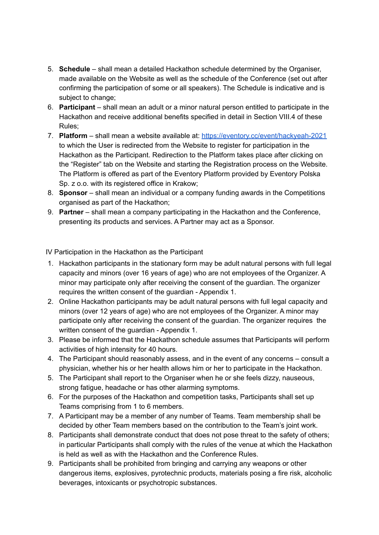- 5. **Schedule** shall mean a detailed Hackathon schedule determined by the Organiser, made available on the Website as well as the schedule of the Conference (set out after confirming the participation of some or all speakers). The Schedule is indicative and is subject to change;
- 6. **Participant** shall mean an adult or a minor natural person entitled to participate in the Hackathon and receive additional benefits specified in detail in Section VIII.4 of these Rules;
- 7. **Platform** shall mean a website available at: <https://eventory.cc/event/hackyeah-2021> to which the User is redirected from the Website to register for participation in the Hackathon as the Participant. Redirection to the Platform takes place after clicking on the "Register" tab on the Website and starting the Registration process on the Website. The Platform is offered as part of the Eventory Platform provided by Eventory Polska Sp. z o.o. with its registered office in Krakow;
- 8. **Sponsor** shall mean an individual or a company funding awards in the Competitions organised as part of the Hackathon;
- 9. **Partner** shall mean a company participating in the Hackathon and the Conference, presenting its products and services. A Partner may act as a Sponsor.

IV Participation in the Hackathon as the Participant

- 1. Hackathon participants in the stationary form may be adult natural persons with full legal capacity and minors (over 16 years of age) who are not employees of the Organizer. A minor may participate only after receiving the consent of the guardian. The organizer requires the written consent of the guardian - Appendix 1.
- 2. Online Hackathon participants may be adult natural persons with full legal capacity and minors (over 12 years of age) who are not employees of the Organizer. A minor may participate only after receiving the consent of the guardian. The organizer requires the written consent of the guardian - Appendix 1.
- 3. Please be informed that the Hackathon schedule assumes that Participants will perform activities of high intensity for 40 hours.
- 4. The Participant should reasonably assess, and in the event of any concerns consult a physician, whether his or her health allows him or her to participate in the Hackathon.
- 5. The Participant shall report to the Organiser when he or she feels dizzy, nauseous, strong fatigue, headache or has other alarming symptoms.
- 6. For the purposes of the Hackathon and competition tasks, Participants shall set up Teams comprising from 1 to 6 members.
- 7. A Participant may be a member of any number of Teams. Team membership shall be decided by other Team members based on the contribution to the Team's joint work.
- 8. Participants shall demonstrate conduct that does not pose threat to the safety of others; in particular Participants shall comply with the rules of the venue at which the Hackathon is held as well as with the Hackathon and the Conference Rules.
- 9. Participants shall be prohibited from bringing and carrying any weapons or other dangerous items, explosives, pyrotechnic products, materials posing a fire risk, alcoholic beverages, intoxicants or psychotropic substances.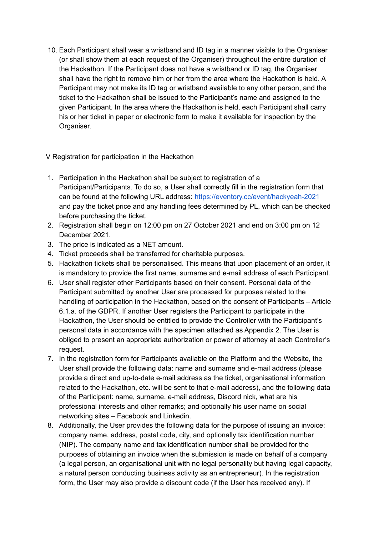10. Each Participant shall wear a wristband and ID tag in a manner visible to the Organiser (or shall show them at each request of the Organiser) throughout the entire duration of the Hackathon. If the Participant does not have a wristband or ID tag, the Organiser shall have the right to remove him or her from the area where the Hackathon is held. A Participant may not make its ID tag or wristband available to any other person, and the ticket to the Hackathon shall be issued to the Participant's name and assigned to the given Participant. In the area where the Hackathon is held, each Participant shall carry his or her ticket in paper or electronic form to make it available for inspection by the Organiser.

V Registration for participation in the Hackathon

- 1. Participation in the Hackathon shall be subject to registration of a Participant/Participants. To do so, a User shall correctly fill in the registration form that can be found at the following URL address: https://eventory.cc/event/hackyeah-2021 and pay the ticket price and any handling fees determined by PL, which can be checked before purchasing the ticket.
- 2. Registration shall begin on 12:00 pm on 27 October 2021 and end on 3:00 pm on 12 December 2021.
- 3. The price is indicated as a NET amount.
- 4. Ticket proceeds shall be transferred for charitable purposes.
- 5. Hackathon tickets shall be personalised. This means that upon placement of an order, it is mandatory to provide the first name, surname and e-mail address of each Participant.
- 6. User shall register other Participants based on their consent. Personal data of the Participant submitted by another User are processed for purposes related to the handling of participation in the Hackathon, based on the consent of Participants – Article 6.1.a. of the GDPR. If another User registers the Participant to participate in the Hackathon, the User should be entitled to provide the Controller with the Participant's personal data in accordance with the specimen attached as Appendix 2. The User is obliged to present an appropriate authorization or power of attorney at each Controller's request.
- 7. In the registration form for Participants available on the Platform and the Website, the User shall provide the following data: name and surname and e-mail address (please provide a direct and up-to-date e-mail address as the ticket, organisational information related to the Hackathon, etc. will be sent to that e-mail address), and the following data of the Participant: name, surname, e-mail address, Discord nick, what are his professional interests and other remarks; and optionally his user name on social networking sites – Facebook and Linkedin.
- 8. Additionally, the User provides the following data for the purpose of issuing an invoice: company name, address, postal code, city, and optionally tax identification number (NIP). The company name and tax identification number shall be provided for the purposes of obtaining an invoice when the submission is made on behalf of a company (a legal person, an organisational unit with no legal personality but having legal capacity, a natural person conducting business activity as an entrepreneur). In the registration form, the User may also provide a discount code (if the User has received any). If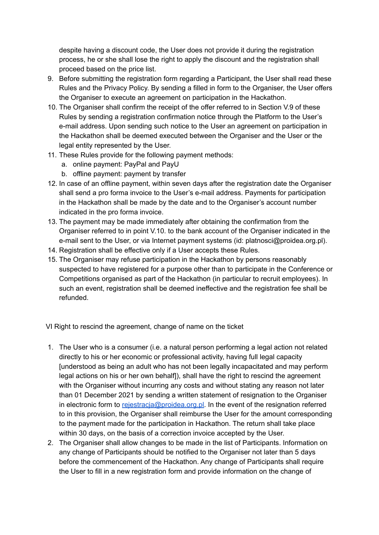despite having a discount code, the User does not provide it during the registration process, he or she shall lose the right to apply the discount and the registration shall proceed based on the price list.

- 9. Before submitting the registration form regarding a Participant, the User shall read these Rules and the Privacy Policy. By sending a filled in form to the Organiser, the User offers the Organiser to execute an agreement on participation in the Hackathon.
- 10. The Organiser shall confirm the receipt of the offer referred to in Section V.9 of these Rules by sending a registration confirmation notice through the Platform to the User's e-mail address. Upon sending such notice to the User an agreement on participation in the Hackathon shall be deemed executed between the Organiser and the User or the legal entity represented by the User.
- 11. These Rules provide for the following payment methods:
	- a. online payment: PayPal and PayU
	- b. offline payment: payment by transfer
- 12. In case of an offline payment, within seven days after the registration date the Organiser shall send a pro forma invoice to the User's e-mail address. Payments for participation in the Hackathon shall be made by the date and to the Organiser's account number indicated in the pro forma invoice.
- 13. The payment may be made immediately after obtaining the confirmation from the Organiser referred to in point V.10. to the bank account of the Organiser indicated in the e-mail sent to the User, or via Internet payment systems (id: platnosci@proidea.org.pl).
- 14. Registration shall be effective only if a User accepts these Rules.
- 15. The Organiser may refuse participation in the Hackathon by persons reasonably suspected to have registered for a purpose other than to participate in the Conference or Competitions organised as part of the Hackathon (in particular to recruit employees). In such an event, registration shall be deemed ineffective and the registration fee shall be refunded.

VI Right to rescind the agreement, change of name on the ticket

- 1. The User who is a consumer (i.e. a natural person performing a legal action not related directly to his or her economic or professional activity, having full legal capacity [understood as being an adult who has not been legally incapacitated and may perform legal actions on his or her own behalf]), shall have the right to rescind the agreement with the Organiser without incurring any costs and without stating any reason not later than 01 December 2021 by sending a written statement of resignation to the Organiser in electronic form to rejestracja@proidea.org.pl. In the event of the resignation referred to in this provision, the Organiser shall reimburse the User for the amount corresponding to the payment made for the participation in Hackathon. The return shall take place within 30 days, on the basis of a correction invoice accepted by the User.
- 2. The Organiser shall allow changes to be made in the list of Participants. Information on any change of Participants should be notified to the Organiser not later than 5 days before the commencement of the Hackathon. Any change of Participants shall require the User to fill in a new registration form and provide information on the change of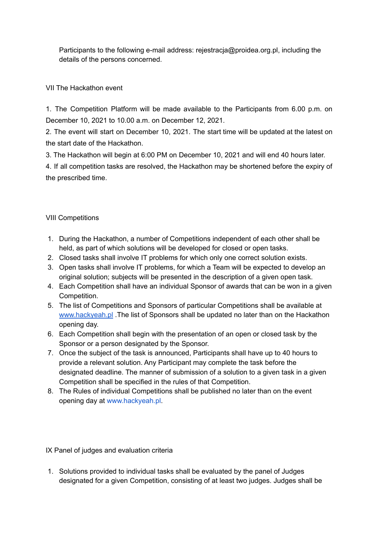Participants to the following e-mail address: rejestracja@proidea.org.pl, including the details of the persons concerned.

## VII The Hackathon event

1. The Competition Platform will be made available to the Participants from 6.00 p.m. on December 10, 2021 to 10.00 a.m. on December 12, 2021.

2. The event will start on December 10, 2021. The start time will be updated at the latest on the start date of the Hackathon.

3. The Hackathon will begin at 6:00 PM on December 10, 2021 and will end 40 hours later.

4. If all competition tasks are resolved, the Hackathon may be shortened before the expiry of the prescribed time.

## VIII Competitions

- 1. During the Hackathon, a number of Competitions independent of each other shall be held, as part of which solutions will be developed for closed or open tasks.
- 2. Closed tasks shall involve IT problems for which only one correct solution exists.
- 3. Open tasks shall involve IT problems, for which a Team will be expected to develop an original solution; subjects will be presented in the description of a given open task.
- 4. Each Competition shall have an individual Sponsor of awards that can be won in a given Competition.
- 5. The list of Competitions and Sponsors of particular Competitions shall be available a[t](http://www.hackyeah.pl/) [www.hackyeah.pl](http://www.hackyeah.pl/) .The list of Sponsors shall be updated no later than on the Hackathon opening day.
- 6. Each Competition shall begin with the presentation of an open or closed task by the Sponsor or a person designated by the Sponsor.
- 7. Once the subject of the task is announced, Participants shall have up to 40 hours to provide a relevant solution. Any Participant may complete the task before the designated deadline. The manner of submission of a solution to a given task in a given Competition shall be specified in the rules of that Competition.
- 8. The Rules of individual Competitions shall be published no later than on the event opening day at www.hackyeah.pl.

IX Panel of judges and evaluation criteria

1. Solutions provided to individual tasks shall be evaluated by the panel of Judges designated for a given Competition, consisting of at least two judges. Judges shall be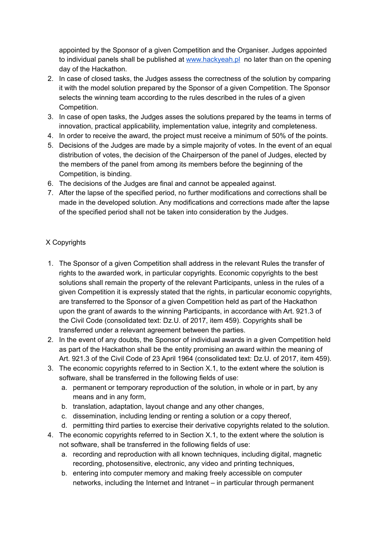appointed by the Sponsor of a given Competition and the Organiser. Judges appointed to individual panels shall be published at [www.hackyeah.pl](http://www.hackyeah.pl/) no later than on the opening day of the Hackathon.

- 2. In case of closed tasks, the Judges assess the correctness of the solution by comparing it with the model solution prepared by the Sponsor of a given Competition. The Sponsor selects the winning team according to the rules described in the rules of a given Competition.
- 3. In case of open tasks, the Judges asses the solutions prepared by the teams in terms of innovation, practical applicability, implementation value, integrity and completeness.
- 4. In order to receive the award, the project must receive a minimum of 50% of the points.
- 5. Decisions of the Judges are made by a simple majority of votes. In the event of an equal distribution of votes, the decision of the Chairperson of the panel of Judges, elected by the members of the panel from among its members before the beginning of the Competition, is binding.
- 6. The decisions of the Judges are final and cannot be appealed against.
- 7. After the lapse of the specified period, no further modifications and corrections shall be made in the developed solution. Any modifications and corrections made after the lapse of the specified period shall not be taken into consideration by the Judges.

## X Copyrights

- 1. The Sponsor of a given Competition shall address in the relevant Rules the transfer of rights to the awarded work, in particular copyrights. Economic copyrights to the best solutions shall remain the property of the relevant Participants, unless in the rules of a given Competition it is expressly stated that the rights, in particular economic copyrights, are transferred to the Sponsor of a given Competition held as part of the Hackathon upon the grant of awards to the winning Participants, in accordance with Art. 921.3 of the Civil Code (consolidated text: Dz.U. of 2017, item 459). Copyrights shall be transferred under a relevant agreement between the parties.
- 2. In the event of any doubts, the Sponsor of individual awards in a given Competition held as part of the Hackathon shall be the entity promising an award within the meaning of Art. 921.3 of the Civil Code of 23 April 1964 (consolidated text: Dz.U. of 2017, item 459).
- 3. The economic copyrights referred to in Section X.1, to the extent where the solution is software, shall be transferred in the following fields of use:
	- a. permanent or temporary reproduction of the solution, in whole or in part, by any means and in any form,
	- b. translation, adaptation, layout change and any other changes,
	- c. dissemination, including lending or renting a solution or a copy thereof,
	- d. permitting third parties to exercise their derivative copyrights related to the solution.
- 4. The economic copyrights referred to in Section X.1, to the extent where the solution is not software, shall be transferred in the following fields of use:
	- a. recording and reproduction with all known techniques, including digital, magnetic recording, photosensitive, electronic, any video and printing techniques,
	- b. entering into computer memory and making freely accessible on computer networks, including the Internet and Intranet – in particular through permanent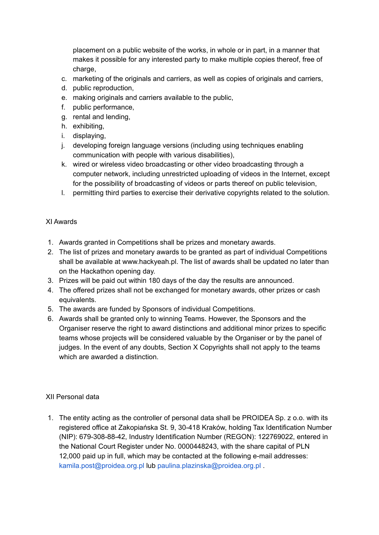placement on a public website of the works, in whole or in part, in a manner that makes it possible for any interested party to make multiple copies thereof, free of charge,

- c. marketing of the originals and carriers, as well as copies of originals and carriers,
- d. public reproduction,
- e. making originals and carriers available to the public,
- f. public performance,
- g. rental and lending,
- h. exhibiting,
- i. displaying,
- j. developing foreign language versions (including using techniques enabling communication with people with various disabilities),
- k. wired or wireless video broadcasting or other video broadcasting through a computer network, including unrestricted uploading of videos in the Internet, except for the possibility of broadcasting of videos or parts thereof on public television,
- l. permitting third parties to exercise their derivative copyrights related to the solution.

#### XI Awards

- 1. Awards granted in Competitions shall be prizes and monetary awards.
- 2. The list of prizes and monetary awards to be granted as part of individual Competitions shall be available at www.hackyeah.pl. The list of awards shall be updated no later than on the Hackathon opening day.
- 3. Prizes will be paid out within 180 days of the day the results are announced.
- 4. The offered prizes shall not be exchanged for monetary awards, other prizes or cash equivalents.
- 5. The awards are funded by Sponsors of individual Competitions.
- 6. Awards shall be granted only to winning Teams. However, the Sponsors and the Organiser reserve the right to award distinctions and additional minor prizes to specific teams whose projects will be considered valuable by the Organiser or by the panel of judges. In the event of any doubts, Section X Copyrights shall not apply to the teams which are awarded a distinction.

#### XII Personal data

1. The entity acting as the controller of personal data shall be PROIDEA Sp. z o.o. with its registered office at Zakopiańska St. 9, 30-418 Kraków, holding Tax Identification Number (NIP): 679-308-88-42, Industry Identification Number (REGON): 122769022, entered in the National Court Register under No. 0000448243, with the share capital of PLN 12,000 paid up in full, which may be contacted at the following e-mail addresses: kamila.post@proidea.org.pl lub paulina.plazinska@proidea.org.pl .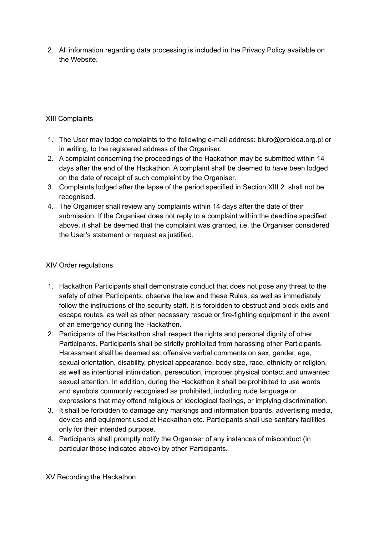2. All information regarding data processing is included in the Privacy Policy available on the Website.

## XIII Complaints

- 1. The User may lodge complaints to the following e-mail address: biuro@proidea.org.pl or in writing, to the registered address of the Organiser.
- 2. A complaint concerning the proceedings of the Hackathon may be submitted within 14 days after the end of the Hackathon. A complaint shall be deemed to have been lodged on the date of receipt of such complaint by the Organiser.
- 3. Complaints lodged after the lapse of the period specified in Section XIII.2. shall not be recognised.
- 4. The Organiser shall review any complaints within 14 days after the date of their submission. If the Organiser does not reply to a complaint within the deadline specified above, it shall be deemed that the complaint was granted, i.e. the Organiser considered the User's statement or request as justified.

#### XIV Order regulations

- 1. Hackathon Participants shall demonstrate conduct that does not pose any threat to the safety of other Participants, observe the law and these Rules, as well as immediately follow the instructions of the security staff. It is forbidden to obstruct and block exits and escape routes, as well as other necessary rescue or fire-fighting equipment in the event of an emergency during the Hackathon.
- 2. Participants of the Hackathon shall respect the rights and personal dignity of other Participants. Participants shall be strictly prohibited from harassing other Participants. Harassment shall be deemed as: offensive verbal comments on sex, gender, age, sexual orientation, disability, physical appearance, body size, race, ethnicity or religion, as well as intentional intimidation, persecution, improper physical contact and unwanted sexual attention. In addition, during the Hackathon it shall be prohibited to use words and symbols commonly recognised as prohibited, including rude language or expressions that may offend religious or ideological feelings, or implying discrimination.
- 3. It shall be forbidden to damage any markings and information boards, advertising media, devices and equipment used at Hackathon etc. Participants shall use sanitary facilities only for their intended purpose.
- 4. Participants shall promptly notify the Organiser of any instances of misconduct (in particular those indicated above) by other Participants.

XV Recording the Hackathon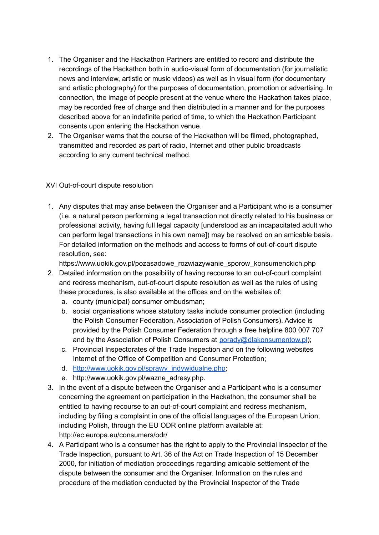- 1. The Organiser and the Hackathon Partners are entitled to record and distribute the recordings of the Hackathon both in audio-visual form of documentation (for journalistic news and interview, artistic or music videos) as well as in visual form (for documentary and artistic photography) for the purposes of documentation, promotion or advertising. In connection, the image of people present at the venue where the Hackathon takes place, may be recorded free of charge and then distributed in a manner and for the purposes described above for an indefinite period of time, to which the Hackathon Participant consents upon entering the Hackathon venue.
- 2. The Organiser warns that the course of the Hackathon will be filmed, photographed, transmitted and recorded as part of radio, Internet and other public broadcasts according to any current technical method.

## XVI Out-of-court dispute resolution

1. Any disputes that may arise between the Organiser and a Participant who is a consumer (i.e. a natural person performing a legal transaction not directly related to his business or professional activity, having full legal capacity [understood as an incapacitated adult who can perform legal transactions in his own name]) may be resolved on an amicable basis. For detailed information on the methods and access to forms of out-of-court dispute resolution, see:

https://www.uokik.gov.pl/pozasadowe\_rozwiazywanie\_sporow\_konsumenckich.php

- 2. Detailed information on the possibility of having recourse to an out-of-court complaint and redress mechanism, out-of-court dispute resolution as well as the rules of using these procedures, is also available at the offices and on the websites of:
	- a. county (municipal) consumer ombudsman;
	- b. social organisations whose statutory tasks include consumer protection (including the Polish Consumer Federation, Association of Polish Consumers). Advice is provided by the Polish Consumer Federation through a free helpline 800 007 707 and by the Association of Polish Consumers at porady@dlakonsumentow.pl):
	- c. Provincial Inspectorates of the Trade Inspection and on the following websites Internet of the Office of Competition and Consumer Protection;
	- d. [http://www.uokik.gov.pl/sprawy\\_indywidualne.php;](http://www.uokik.gov.pl/sprawy_indywidualne.php)
	- e. http://www.uokik.gov.pl/wazne\_adresy.php.
- 3. In the event of a dispute between the Organiser and a Participant who is a consumer concerning the agreement on participation in the Hackathon, the consumer shall be entitled to having recourse to an out-of-court complaint and redress mechanism, including by filing a complaint in one of the official languages of the European Union, including Polish, through the EU ODR online platform available at: http://ec.europa.eu/consumers/odr/
- 4. A Participant who is a consumer has the right to apply to the Provincial Inspector of the Trade Inspection, pursuant to Art. 36 of the Act on Trade Inspection of 15 December 2000, for initiation of mediation proceedings regarding amicable settlement of the dispute between the consumer and the Organiser. Information on the rules and procedure of the mediation conducted by the Provincial Inspector of the Trade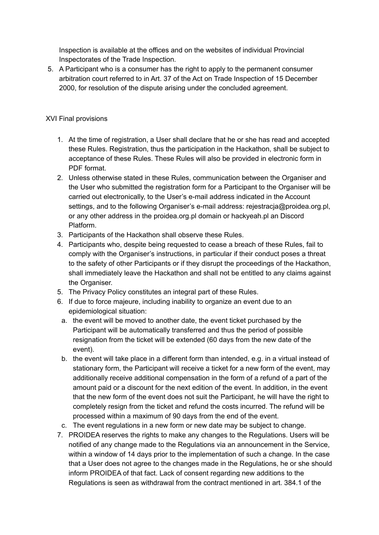Inspection is available at the offices and on the websites of individual Provincial Inspectorates of the Trade Inspection.

5. A Participant who is a consumer has the right to apply to the permanent consumer arbitration court referred to in Art. 37 of the Act on Trade Inspection of 15 December 2000, for resolution of the dispute arising under the concluded agreement.

## XVI Final provisions

- 1. At the time of registration, a User shall declare that he or she has read and accepted these Rules. Registration, thus the participation in the Hackathon, shall be subject to acceptance of these Rules. These Rules will also be provided in electronic form in PDF format.
- 2. Unless otherwise stated in these Rules, communication between the Organiser and the User who submitted the registration form for a Participant to the Organiser will be carried out electronically, to the User's e-mail address indicated in the Account settings, and to the following Organiser's e-mail address: rejestracja@proidea.org.pl, or any other address in the proidea.org.pl domain or hackyeah.pl an Discord Platform.
- 3. Participants of the Hackathon shall observe these Rules.
- 4. Participants who, despite being requested to cease a breach of these Rules, fail to comply with the Organiser's instructions, in particular if their conduct poses a threat to the safety of other Participants or if they disrupt the proceedings of the Hackathon, shall immediately leave the Hackathon and shall not be entitled to any claims against the Organiser.
- 5. The Privacy Policy constitutes an integral part of these Rules.
- 6. If due to force majeure, including inability to organize an event due to an epidemiological situation:
	- a. the event will be moved to another date, the event ticket purchased by the Participant will be automatically transferred and thus the period of possible resignation from the ticket will be extended (60 days from the new date of the event).
	- b. the event will take place in a different form than intended, e.g. in a virtual instead of stationary form, the Participant will receive a ticket for a new form of the event, may additionally receive additional compensation in the form of a refund of a part of the amount paid or a discount for the next edition of the event. In addition, in the event that the new form of the event does not suit the Participant, he will have the right to completely resign from the ticket and refund the costs incurred. The refund will be processed within a maximum of 90 days from the end of the event.
- c. The event regulations in a new form or new date may be subject to change.
- 7. PROIDEA reserves the rights to make any changes to the Regulations. Users will be notified of any change made to the Regulations via an announcement in the Service, within a window of 14 days prior to the implementation of such a change. In the case that a User does not agree to the changes made in the Regulations, he or she should inform PROIDEA of that fact. Lack of consent regarding new additions to the Regulations is seen as withdrawal from the contract mentioned in art. 384.1 of the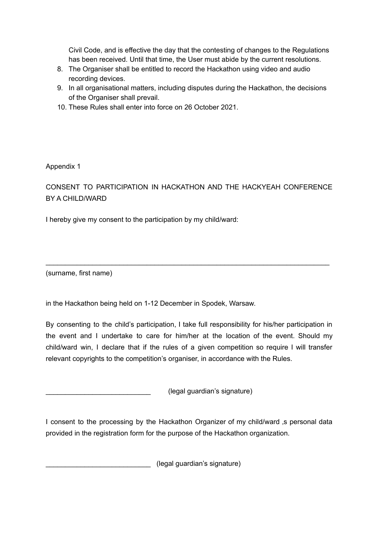Civil Code, and is effective the day that the contesting of changes to the Regulations has been received. Until that time, the User must abide by the current resolutions.

- 8. The Organiser shall be entitled to record the Hackathon using video and audio recording devices.
- 9. In all organisational matters, including disputes during the Hackathon, the decisions of the Organiser shall prevail.
- 10. These Rules shall enter into force on 26 October 2021.

Appendix 1

CONSENT TO PARTICIPATION IN HACKATHON AND THE HACKYEAH CONFERENCE BY A CHILD/WARD

\_\_\_\_\_\_\_\_\_\_\_\_\_\_\_\_\_\_\_\_\_\_\_\_\_\_\_\_\_\_\_\_\_\_\_\_\_\_\_\_\_\_\_\_\_\_\_\_\_\_\_\_\_\_\_\_\_\_\_\_\_\_\_\_\_\_\_\_\_\_\_\_\_

I hereby give my consent to the participation by my child/ward:

(surname, first name)

in the Hackathon being held on 1-12 December in Spodek, Warsaw.

By consenting to the child's participation, I take full responsibility for his/her participation in the event and I undertake to care for him/her at the location of the event. Should my child/ward win, I declare that if the rules of a given competition so require I will transfer relevant copyrights to the competition's organiser, in accordance with the Rules.

\_\_\_\_\_\_\_\_\_\_\_\_\_\_\_\_\_\_\_\_\_\_\_\_\_\_\_ (legal guardian's signature)

I consent to the processing by the Hackathon Organizer of my child/ward as personal data provided in the registration form for the purpose of the Hackathon organization.

\_\_\_\_\_\_\_\_\_\_\_\_\_\_\_\_\_\_\_\_\_\_\_\_\_\_\_ (legal guardian's signature)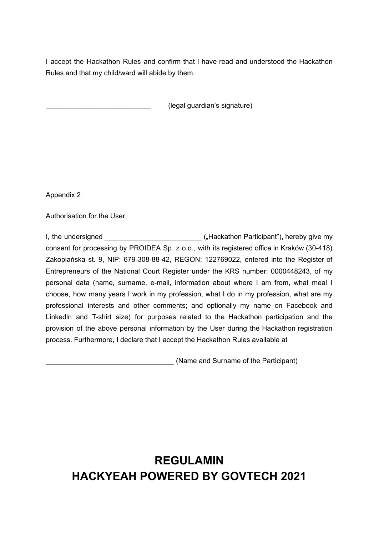I accept the Hackathon Rules and confirm that I have read and understood the Hackathon Rules and that my child/ward will abide by them.

\_\_\_\_\_\_\_\_\_\_\_\_\_\_\_\_\_\_\_\_\_\_\_\_\_\_\_ (legal guardian's signature)

Appendix 2

Authorisation for the User

I, the undersigned \_\_\_\_\_\_\_\_\_\_\_\_\_\_\_\_\_\_\_\_\_\_\_\_\_ ("Hackathon Participant"), hereby give my consent for processing by PROIDEA Sp. z o.o., with its registered office in Kraków (30-418) Zakopiańska st. 9, NIP: 679-308-88-42, REGON: 122769022, entered into the Register of Entrepreneurs of the National Court Register under the KRS number: 0000448243, of my personal data (name, surname, e-mail, information about where I am from, what meal I choose, how many years I work in my profession, what I do in my profession, what are my professional interests and other comments; and optionally my name on Facebook and Linkedln and T-shirt size) for purposes related to the Hackathon participation and the provision of the above personal information by the User during the Hackathon registration process. Furthermore, I declare that I accept the Hackathon Rules available at

\_\_\_\_\_\_\_\_\_\_\_\_\_\_\_\_\_\_\_\_\_\_\_\_\_\_\_\_\_\_\_\_\_ (Name and Surname of the Participant)

## **REGULAMIN HACKYEAH POWERED BY GOVTECH 2021**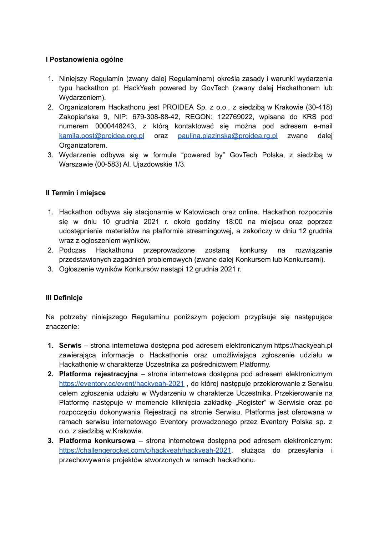#### **I Postanowienia ogólne**

- 1. Niniejszy Regulamin (zwany dalej Regulaminem) określa zasady i warunki wydarzenia typu hackathon pt. HackYeah powered by GovTech (zwany dalej Hackathonem lub Wydarzeniem).
- 2. Organizatorem Hackathonu jest PROIDEA Sp. z o.o., z siedzibą w Krakowie (30-418) Zakopiańska 9, NIP: 679-308-88-42, REGON: 122769022, wpisana do KRS pod numerem 0000448243, z którą kontaktować się można pod adresem e-mail [kamila.post@proidea.org.pl](mailto:kamila.post@proidea.org.pl) oraz [paulina.plazinska@proidea.rg.pl](mailto:paulina.plazinska@proidea.rg.pl) zwane dalej Organizatorem.
- 3. Wydarzenie odbywa się w formule "powered by" GovTech Polska, z siedzibą w Warszawie (00-583) Al. Ujazdowskie 1/3.

## **II Termin i miejsce**

- 1. Hackathon odbywa się stacjonarnie w Katowicach oraz online. Hackathon rozpocznie się w dniu 10 grudnia 2021 r. około godziny 18:00 na miejscu oraz poprzez udostępnienie materiałów na platformie streamingowej, a zakończy w dniu 12 grudnia wraz z ogłoszeniem wyników.
- 2. Podczas Hackathonu przeprowadzone zostaną konkursy na rozwiązanie przedstawionych zagadnień problemowych (zwane dalej Konkursem lub Konkursami).
- 3. Ogłoszenie wyników Konkursów nastąpi 12 grudnia 2021 r.

## **III Definicje**

Na potrzeby niniejszego Regulaminu poniższym pojęciom przypisuje się następujące znaczenie:

- **1. Serwis** strona internetowa dostępna pod adresem elektronicznym https://hackyeah.pl zawierająca informacje o Hackathonie oraz umożliwiająca zgłoszenie udziału w Hackathonie w charakterze Uczestnika za pośrednictwem Platformy.
- **2. Platforma rejestracyjna** strona internetowa dostępna pod adresem elektronicznym <https://eventory.cc/event/hackyeah-2021> , do której następuje przekierowanie z Serwisu celem zgłoszenia udziału w Wydarzeniu w charakterze Uczestnika. Przekierowanie na Platforme następuje w momencie kliknięcia zakładkę "Register" w Serwisie oraz po rozpoczęciu dokonywania Rejestracji na stronie Serwisu. Platforma jest oferowana w ramach serwisu internetowego Eventory prowadzonego przez Eventory Polska sp. z o.o. z siedzibą w Krakowie.
- **3. Platforma konkursowa** strona internetowa dostępna pod adresem elektronicznym: [https://challengerocket.com/c/hackyeah/hackyeah-2021,](https://challengerocket.com/c/hackyeah/hackyeah-2021) służąca do przesyłania i przechowywania projektów stworzonych w ramach hackathonu.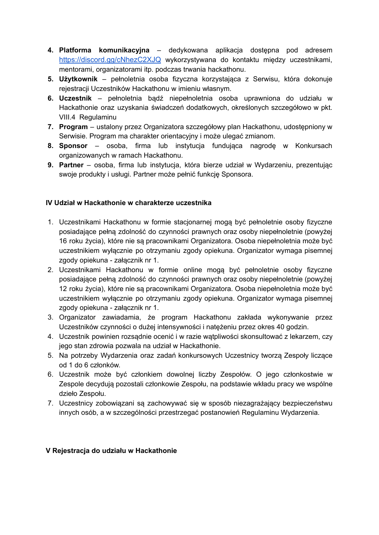- **4. Platforma komunikacyjna** dedykowana aplikacja dostępna pod adresem <https://discord.gg/cNhezC2XJQ> wykorzystywana do kontaktu między uczestnikami, mentorami, organizatorami itp. podczas trwania hackathonu.
- **5. Użytkownik** pełnoletnia osoba fizyczna korzystająca z Serwisu, która dokonuje rejestracji Uczestników Hackathonu w imieniu własnym.
- **6. Uczestnik** pełnoletnia bądź niepełnoletnia osoba uprawniona do udziału w Hackathonie oraz uzyskania świadczeń dodatkowych, określonych szczegółowo w pkt. VIII.4 Regulaminu
- **7. Program** ustalony przez Organizatora szczegółowy plan Hackathonu, udostępniony w Serwisie. Program ma charakter orientacyjny i może ulegać zmianom.
- **8. Sponsor** osoba, firma lub instytucja fundująca nagrodę w Konkursach organizowanych w ramach Hackathonu.
- **9. Partner** osoba, firma lub instytucja, która bierze udział w Wydarzeniu, prezentując swoje produkty i usługi. Partner może pełnić funkcję Sponsora.

## **IV Udział w Hackathonie w charakterze uczestnika**

- 1. Uczestnikami Hackathonu w formie stacjonarnej mogą być pełnoletnie osoby fizyczne posiadające pełną zdolność do czynności prawnych oraz osoby niepełnoletnie (powyżej 16 roku życia), które nie są pracownikami Organizatora. Osoba niepełnoletnia może być uczestnikiem wyłącznie po otrzymaniu zgody opiekuna. Organizator wymaga pisemnej zgody opiekuna - załącznik nr 1.
- 2. Uczestnikami Hackathonu w formie online mogą być pełnoletnie osoby fizyczne posiadające pełną zdolność do czynności prawnych oraz osoby niepełnoletnie (powyżej 12 roku życia), które nie są pracownikami Organizatora. Osoba niepełnoletnia może być uczestnikiem wyłącznie po otrzymaniu zgody opiekuna. Organizator wymaga pisemnej zgody opiekuna - załącznik nr 1.
- 3. Organizator zawiadamia, że program Hackathonu zakłada wykonywanie przez Uczestników czynności o dużej intensywności i natężeniu przez okres 40 godzin.
- 4. Uczestnik powinien rozsądnie ocenić i w razie wątpliwości skonsultować z lekarzem, czy jego stan zdrowia pozwala na udział w Hackathonie.
- 5. Na potrzeby Wydarzenia oraz zadań konkursowych Uczestnicy tworzą Zespoły liczące od 1 do 6 członków.
- 6. Uczestnik może być członkiem dowolnej liczby Zespołów. O jego członkostwie w Zespole decydują pozostali członkowie Zespołu, na podstawie wkładu pracy we wspólne dzieło Zespołu.
- 7. Uczestnicy zobowiązani są zachowywać się w sposób niezagrażający bezpieczeństwu innych osób, a w szczególności przestrzegać postanowień Regulaminu Wydarzenia.

#### **V Rejestracja do udziału w Hackathonie**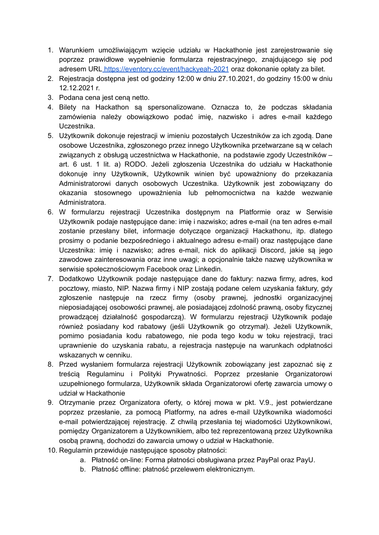- 1. Warunkiem umożliwiającym wzięcie udziału w Hackathonie jest zarejestrowanie się poprzez prawidłowe wypełnienie formularza rejestracyjnego, znajdującego się pod adresem URL <https://eventory.cc/event/hackyeah-2021> oraz dokonanie opłaty za bilet.
- 2. Rejestracja dostępna jest od godziny 12:00 w dniu 27.10.2021, do godziny 15:00 w dniu 12.12.2021 r.
- 3. Podana cena jest ceną netto.
- 4. Bilety na Hackathon są spersonalizowane. Oznacza to, że podczas składania zamówienia należy obowiązkowo podać imię, nazwisko i adres e-mail każdego Uczestnika.
- 5. Użytkownik dokonuje rejestracji w imieniu pozostałych Uczestników za ich zgodą. Dane osobowe Uczestnika, zgłoszonego przez innego Użytkownika przetwarzane są w celach związanych z obsługą uczestnictwa w Hackathonie, na podstawie zgody Uczestników – art. 6 ust. 1 lit. a) RODO. Jeżeli zgłoszenia Uczestnika do udziału w Hackathonie dokonuje inny Użytkownik, Użytkownik winien być upoważniony do przekazania Administratorowi danych osobowych Uczestnika. Użytkownik jest zobowiązany do okazania stosownego upoważnienia lub pełnomocnictwa na każde wezwanie Administratora.
- 6. W formularzu rejestracji Uczestnika dostępnym na Platformie oraz w Serwisie Użytkownik podaje następujące dane: imię i nazwisko; adres e-mail (na ten adres e-mail zostanie przesłany bilet, informacje dotyczące organizacji Hackathonu, itp. dlatego prosimy o podanie bezpośredniego i aktualnego adresu e-mail) oraz następujące dane Uczestnika: imię i nazwisko; adres e-mail, nick do aplikacji Discord, jakie są jego zawodowe zainteresowania oraz inne uwagi; a opcjonalnie także nazwę użytkownika w serwisie społecznościowym Facebook oraz Linkedin.
- 7. Dodatkowo Użytkownik podaje następujące dane do faktury: nazwa firmy, adres, kod pocztowy, miasto, NIP. Nazwa firmy i NIP zostają podane celem uzyskania faktury, gdy zgłoszenie następuje na rzecz firmy (osoby prawnej, jednostki organizacyjnej nieposiadającej osobowości prawnej, ale posiadającej zdolność prawną, osoby fizycznej prowadzącej działalność gospodarczą). W formularzu rejestracji Użytkownik podaje również posiadany kod rabatowy (jeśli Użytkownik go otrzymał). Jeżeli Użytkownik, pomimo posiadania kodu rabatowego, nie poda tego kodu w toku rejestracji, traci uprawnienie do uzyskania rabatu, a rejestracia nastepuje na warunkach odpłatności wskazanych w cenniku.
- 8. Przed wysłaniem formularza rejestracji Użytkownik zobowiązany jest zapoznać się z treścią Regulaminu i Polityki Prywatności. Poprzez przesłanie Organizatorowi uzupełnionego formularza, Użytkownik składa Organizatorowi ofertę zawarcia umowy o udział w Hackathonie
- 9. Otrzymanie przez Organizatora oferty, o której mowa w pkt. V.9., jest potwierdzane poprzez przesłanie, za pomocą Platformy, na adres e-mail Użytkownika wiadomości e-mail potwierdzającej rejestrację. Z chwilą przesłania tej wiadomości Użytkownikowi, pomiędzy Organizatorem a Użytkownikiem, albo też reprezentowaną przez Użytkownika osobą prawną, dochodzi do zawarcia umowy o udział w Hackathonie.
- 10. Regulamin przewiduje następujące sposoby płatności:
	- a. Płatność on-line: Forma płatności obsługiwana przez PayPal oraz PayU.
	- b. Płatność offline: płatność przelewem elektronicznym.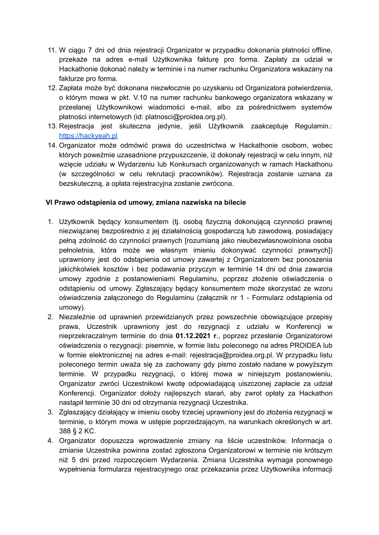- 11. W ciągu 7 dni od dnia rejestracji Organizator w przypadku dokonania płatności offline, przekaże na adres e-mail Użytkownika fakturę pro forma. Zapłaty za udział w Hackathonie dokonać należy w terminie i na numer rachunku Organizatora wskazany na fakturze pro forma.
- 12. Zapłata może być dokonana niezwłocznie po uzyskaniu od Organizatora potwierdzenia, o którym mowa w pkt. V.10 na numer rachunku bankowego organizatora wskazany w przesłanej Użytkownikowi wiadomości e-mail, albo za pośrednictwem systemów płatności internetowych (id: platnosci@proidea.org.pl).
- 13. Rejestracja jest skuteczna jedynie, jeśli Użytkownik zaakceptuje Regulamin.: [https://hackyeah.pl](https://hackyeah.pl/regulamin-2020/)
- 14. Organizator może odmówić prawa do uczestnictwa w Hackathonie osobom, wobec których poweźmie uzasadnione przypuszczenie, iż dokonały rejestracji w celu innym, niż wzięcie udziału w Wydarzeniu lub Konkursach organizowanych w ramach Hackathonu (w szczególności w celu rekrutacji pracowników). Rejestracja zostanie uznana za bezskuteczną, a opłata rejestracyjna zostanie zwrócona.

#### **VI Prawo odstąpienia od umowy, zmiana nazwiska na bilecie**

- 1. Użytkownik będący konsumentem (tj. osobą fizyczną dokonującą czynności prawnej niezwiązanej bezpośrednio z jej działalnością gospodarczą lub zawodową, posiadający pełną zdolność do czynności prawnych [rozumianą jako nieubezwłasnowolniona osoba pełnoletnia, która może we własnym imieniu dokonywać czynności prawnych]) uprawniony jest do odstąpienia od umowy zawartej z Organizatorem bez ponoszenia jakichkolwiek kosztów i bez podawania przyczyn w terminie 14 dni od dnia zawarcia umowy zgodnie z postanowieniami Regulaminu, poprzez złożenie oświadczenia o odstąpieniu od umowy. Zgłaszający będący konsumentem może skorzystać ze wzoru oświadczenia załączonego do Regulaminu (załącznik nr 1 - Formularz odstąpienia od umowy).
- 2. Niezależnie od uprawnień przewidzianych przez powszechnie obowiązujące przepisy prawa, Uczestnik uprawniony jest do rezygnacji z udziału w Konferencji w nieprzekraczalnym terminie do dnia **01.12.2021 r**., poprzez przesłanie Organizatorowi oświadczenia o rezygnacji: pisemnie, w formie listu poleconego na adres PROIDEA lub w formie elektronicznej na adres e-mail: rejestracja@proidea.org.pl. W przypadku listu poleconego termin uważa się za zachowany gdy pismo zostało nadane w powyższym terminie. W przypadku rezygnacji, o której mowa w niniejszym postanowieniu, Organizator zwróci Uczestnikowi kwotę odpowiadającą uiszczonej zapłacie za udział Konferencji. Organizator dołoży najlepszych starań, aby zwrot opłaty za Hackathon nastąpił terminie 30 dni od otrzymania rezygnacji Uczestnika.
- 3. Zgłaszający działający w imieniu osoby trzeciej uprawniony jest do złożenia rezygnacji w terminie, o którym mowa w ustępie poprzedzającym, na warunkach określonych w art. 388 § 2 KC.
- 4. Organizator dopuszcza wprowadzenie zmiany na liście uczestników. Informacja o zmianie Uczestnika powinna zostać zgłoszona Organizatorowi w terminie nie krótszym niż 5 dni przed rozpoczęciem Wydarzenia. Zmiana Uczestnika wymaga ponownego wypełnienia formularza rejestracyjnego oraz przekazania przez Użytkownika informacji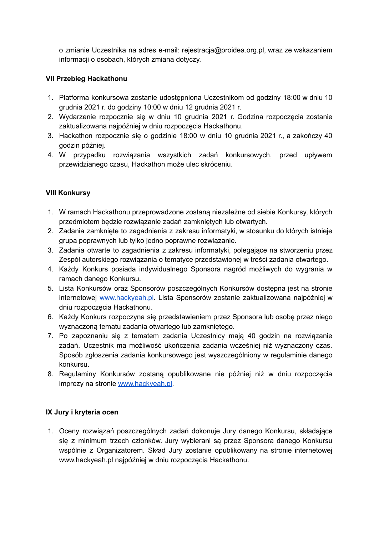o zmianie Uczestnika na adres e-mail: rejestracja@proidea.org.pl, wraz ze wskazaniem informacji o osobach, których zmiana dotyczy.

## **VII Przebieg Hackathonu**

- 1. Platforma konkursowa zostanie udostępniona Uczestnikom od godziny 18:00 w dniu 10 grudnia 2021 r. do godziny 10:00 w dniu 12 grudnia 2021 r.
- 2. Wydarzenie rozpocznie się w dniu 10 grudnia 2021 r. Godzina rozpoczęcia zostanie zaktualizowana najpóźniej w dniu rozpoczęcia Hackathonu.
- 3. Hackathon rozpocznie się o godzinie 18:00 w dniu 10 grudnia 2021 r., a zakończy 40 godzin później.
- 4. W przypadku rozwiązania wszystkich zadań konkursowych, przed upływem przewidzianego czasu, Hackathon może ulec skróceniu.

## **VIII Konkursy**

- 1. W ramach Hackathonu przeprowadzone zostaną niezależne od siebie Konkursy, których przedmiotem będzie rozwiązanie zadań zamkniętych lub otwartych.
- 2. Zadania zamknięte to zagadnienia z zakresu informatyki, w stosunku do których istnieje grupa poprawnych lub tylko jedno poprawne rozwiązanie.
- 3. Zadania otwarte to zagadnienia z zakresu informatyki, polegające na stworzeniu przez Zespół autorskiego rozwiązania o tematyce przedstawionej w treści zadania otwartego.
- 4. Każdy Konkurs posiada indywidualnego Sponsora nagród możliwych do wygrania w ramach danego Konkursu.
- 5. Lista Konkursów oraz Sponsorów poszczególnych Konkursów dostępna jest na stronie internetowej [www.hackyeah.pl.](http://www.hackyeah.pl) Lista Sponsorów zostanie zaktualizowana najpóźniej w dniu rozpoczęcia Hackathonu.
- 6. Każdy Konkurs rozpoczyna się przedstawieniem przez Sponsora lub osobę przez niego wyznaczoną tematu zadania otwartego lub zamkniętego.
- 7. Po zapoznaniu się z tematem zadania Uczestnicy mają 40 godzin na rozwiązanie zadań. Uczestnik ma możliwość ukończenia zadania wcześniej niż wyznaczony czas. Sposób zgłoszenia zadania konkursowego jest wyszczególniony w regulaminie danego konkursu.
- 8. Regulaminy Konkursów zostaną opublikowane nie później niż w dniu rozpoczęcia imprezy na stronie [www.hackyeah.pl.](http://www.hackyeah.pl)

## **IX Jury i kryteria ocen**

1. Oceny rozwiązań poszczególnych zadań dokonuje Jury danego Konkursu, składające się z minimum trzech członków. Jury wybierani są przez Sponsora danego Konkursu wspólnie z Organizatorem. Skład Jury zostanie opublikowany na stronie internetowej www.hackyeah.pl najpóźniej w dniu rozpoczęcia Hackathonu.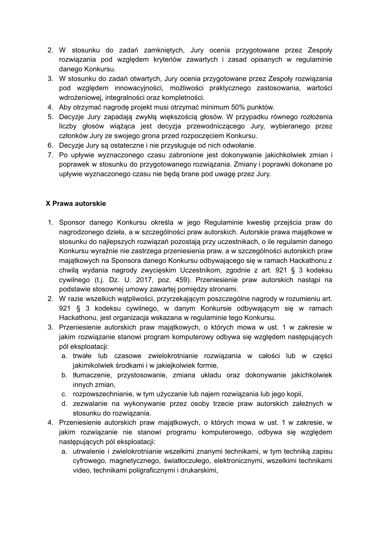- 2. W stosunku do zadań zamkniętych, Jury ocenia przygotowane przez Zespoły rozwiązania pod względem kryteriów zawartych i zasad opisanych w regulaminie danego Konkursu.
- 3. W stosunku do zadań otwartych, Jury ocenia przygotowane przez Zespoły rozwiązania pod względem innowacyjności, możliwości praktycznego zastosowania, wartości wdrożeniowej, integralności oraz kompletności.
- 4. Aby otrzymać nagrodę projekt musi otrzymać minimum 50% punktów.
- 5. Decyzje Jury zapadają zwykłą większością głosów. W przypadku równego rozłożenia liczby głosów wiążąca jest decyzja przewodniczącego Jury, wybieranego przez członków Jury ze swojego grona przed rozpoczęciem Konkursu.
- 6. Decyzje Jury są ostateczne i nie przysługuje od nich odwołanie.
- 7. Po upływie wyznaczonego czasu zabronione jest dokonywanie jakichkolwiek zmian i poprawek w stosunku do przygotowanego rozwiązania. Zmiany i poprawki dokonane po upływie wyznaczonego czasu nie będą brane pod uwagę przez Jury.

#### **X Prawa autorskie**

- 1. Sponsor danego Konkursu określa w jego Regulaminie kwestię przejścia praw do nagrodzonego dzieła, a w szczególności praw autorskich. Autorskie prawa majątkowe w stosunku do najlepszych rozwiązań pozostają przy uczestnikach, o ile regulamin danego Konkursu wyraźnie nie zastrzega przeniesienia praw, a w szczególności autorskich praw majątkowych na Sponsora danego Konkursu odbywającego się w ramach Hackathonu z chwilą wydania nagrody zwycięskim Uczestnikom, zgodnie z art. 921 § 3 kodeksu cywilnego (t.j. Dz. U. 2017, poz. 459). Przeniesienie praw autorskich nastąpi na podstawie stosownej umowy zawartej pomiędzy stronami.
- 2. W razie wszelkich wątpliwości, przyrzekającym poszczególne nagrody w rozumieniu art. 921 § 3 kodeksu cywilnego, w danym Konkursie odbywającym się w ramach Hackathonu, jest organizacia wskazana w regulaminie tego Konkursu.
- 3. Przeniesienie autorskich praw majątkowych, o których mowa w ust. 1 w zakresie w jakim rozwiązanie stanowi program komputerowy odbywa się względem następujących pól eksploatacii:
	- a. trwałe lub czasowe zwielokrotnianie rozwiązania w całości lub w części jakimikolwiek środkami i w jakiejkolwiek formie,
	- b. tłumaczenie, przystosowanie, zmiana układu oraz dokonywanie jakichkolwiek innych zmian,
	- c. rozpowszechnianie, w tym użyczanie lub najem rozwiązania lub jego kopii,
	- d. zezwalanie na wykonywanie przez osoby trzecie praw autorskich zależnych w stosunku do rozwiązania.
- 4. Przeniesienie autorskich praw majątkowych, o których mowa w ust. 1 w zakresie, w jakim rozwiązanie nie stanowi programu komputerowego, odbywa się względem nastepujących pól eksploatacji:
	- a. utrwalenie i zwielokrotnianie wszelkimi znanymi technikami, w tym techniką zapisu cyfrowego, magnetycznego, światłoczułego, elektronicznymi, wszelkimi technikami video, technikami poligraficznymi i drukarskimi,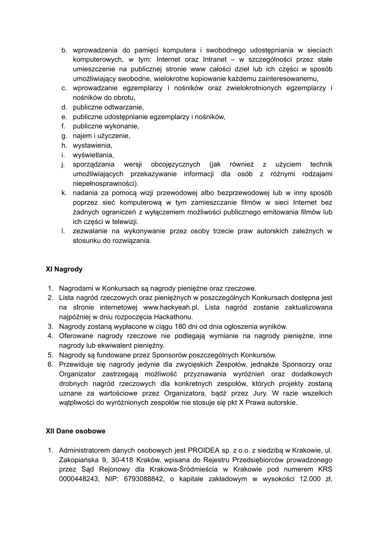- b. wprowadzenia do pamięci komputera i swobodnego udostępniania w sieciach komputerowych, w tym: Internet oraz Intranet – w szczególności przez stałe umieszczenie na publicznej stronie www całości dzieł lub ich części w sposób umożliwiający swobodne, wielokrotne kopiowanie każdemu zainteresowanemu,
- c. wprowadzanie egzemplarzy i nośników oraz zwielokrotnionych egzemplarzy i nośników do obrotu,
- d. publiczne odtwarzanie,
- e. publiczne udostępnianie egzemplarzy i nośników,
- f. publiczne wykonanie,
- g. najem i użyczenie,
- h. wystawienia,
- i. wyświetlania,
- j. sporządzania wersji obcojęzycznych (jak również z użyciem technik umożliwiających przekazywanie informacji dla osób z różnymi rodzajami niepełnosprawności).
- k. nadania za pomocą wizji przewodowej albo bezprzewodowej lub w inny sposób poprzez sieć komputerową w tym zamieszczanie filmów w sieci Internet bez żadnych ograniczeń z wyłączeniem możliwości publicznego emitowania filmów lub ich części w telewizji.
- l. zezwalanie na wykonywanie przez osoby trzecie praw autorskich zależnych w stosunku do rozwiązania.

## **XI Nagrody**

- 1. Nagrodami w Konkursach są nagrody pieniężne oraz rzeczowe.
- 2. Lista nagród rzeczowych oraz pieniężnych w poszczególnych Konkursach dostępna jest na stronie internetowej www.hackyeah.pl. Lista nagród zostanie zaktualizowana najpóźniej w dniu rozpoczęcia Hackathonu.
- 3. Nagrody zostaną wypłacone w ciągu 180 dni od dnia ogłoszenia wyników.
- 4. Oferowane nagrody rzeczowe nie podlegają wymianie na nagrody pieniężne, inne nagrody lub ekwiwalent pieniężny.
- 5. Nagrody są fundowane przez Sponsorów poszczególnych Konkursów.
- 6. Przewiduje się nagrody jedynie dla zwycięskich Zespołów, jednakże Sponsorzy oraz Organizator zastrzegają możliwość przyznawania wyróżnień oraz dodatkowych drobnych nagród rzeczowych dla konkretnych zespołów, których projekty zostaną uznane za wartościowe przez Organizatora, bądź przez Jury. W razie wszelkich wątpliwości do wyróżnionych zespołów nie stosuje się pkt X Prawa autorskie.

#### **XII Dane osobowe**

1. Administratorem danych osobowych jest PROIDEA sp. z o.o. z siedzibą w Krakowie, ul. Zakopiańska 9, 30-418 Kraków, wpisana do Rejestru Przedsiębiorców prowadzonego przez Sąd Rejonowy dla Krakowa-Śródmieścia w Krakowie pod numerem KRS 0000448243, NIP: 6793088842, o kapitale zakładowym w wysokości 12.000 zł,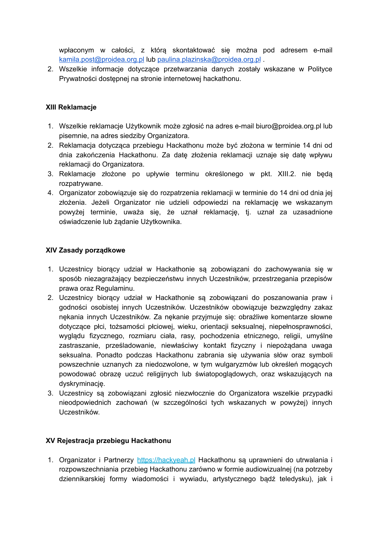wpłaconym w całości, z którą skontaktować się można pod adresem e-mail [kamila.post@proidea.org.pl](mailto:kamila.post@proidea.org.pl) lub [paulina.plazinska@proidea.org.pl](mailto:paulina.plazinska@proidea.org.pl) .

2. Wszelkie informacje dotyczące przetwarzania danych zostały wskazane w Polityce Prywatności dostępnej na stronie internetowej hackathonu.

#### **XIII Reklamacje**

- 1. Wszelkie reklamacje Użytkownik może zgłosić na adres e-mail biuro@proidea.org.pl lub pisemnie, na adres siedziby Organizatora.
- 2. Reklamacja dotycząca przebiegu Hackathonu może być złożona w terminie 14 dni od dnia zakończenia Hackathonu. Za datę złożenia reklamacji uznaje się datę wpływu reklamacii do Organizatora.
- 3. Reklamacje złożone po upływie terminu określonego w pkt. XIII.2. nie będą rozpatrywane.
- 4. Organizator zobowiązuje się do rozpatrzenia reklamacji w terminie do 14 dni od dnia jej złożenia. Jeżeli Organizator nie udzieli odpowiedzi na reklamację we wskazanym powyżej terminie, uważa się, że uznał reklamację, tj. uznał za uzasadnione oświadczenie lub żądanie Użytkownika.

#### **XIV Zasady porządkowe**

- 1. Uczestnicy biorący udział w Hackathonie są zobowiązani do zachowywania się w sposób niezagrażający bezpieczeństwu innych Uczestników, przestrzegania przepisów prawa oraz Regulaminu.
- 2. Uczestnicy biorący udział w Hackathonie są zobowiązani do poszanowania praw i godności osobistej innych Uczestników. Uczestników obowiązuje bezwzględny zakaz nękania innych Uczestników. Za nękanie przyjmuje się: obraźliwe komentarze słowne dotyczące płci, tożsamości płciowej, wieku, orientacji seksualnej, niepełnosprawności, wyglądu fizycznego, rozmiaru ciała, rasy, pochodzenia etnicznego, religii, umyślne zastraszanie, prześladowanie, niewłaściwy kontakt fizyczny i niepożądana uwaga seksualna. Ponadto podczas Hackathonu zabrania się używania słów oraz symboli powszechnie uznanych za niedozwolone, w tym wulgaryzmów lub określeń mogących powodować obrazę uczuć religijnych lub światopoglądowych, oraz wskazujących na dyskryminację.
- 3. Uczestnicy są zobowiązani zgłosić niezwłocznie do Organizatora wszelkie przypadki nieodpowiednich zachowań (w szczególności tych wskazanych w powyżej) innych Uczestników.

## **XV Rejestracja przebiegu Hackathonu**

1. Organizator i Partnerzy [https://hackyeah.pl](https://hackyeah.pl/partners-list-june-2020/) Hackathonu są uprawnieni do utrwalania i rozpowszechniania przebieg Hackathonu zarówno w formie audiowizualnej (na potrzeby dziennikarskiej formy wiadomości i wywiadu, artystycznego bądź teledysku), jak i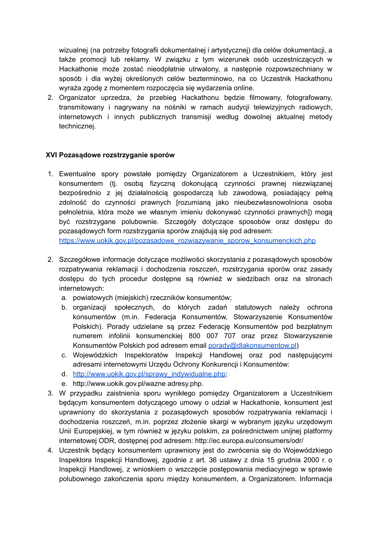wizualnej (na potrzeby fotografii dokumentalnej i artystycznej) dla celów dokumentacji, a także promocji lub reklamy. W związku z tym wizerunek osób uczestniczących w Hackathonie może zostać nieodpłatnie utrwalony, a następnie rozpowszechniany w sposób i dla wyżej określonych celów bezterminowo, na co Uczestnik Hackathonu wyraża zgodę z momentem rozpoczęcia się wydarzenia online.

2. Organizator uprzedza, że przebieg Hackathonu będzie filmowany, fotografowany, transmitowany i nagrywany na nośniki w ramach audycji telewizyjnych radiowych, internetowych i innych publicznych transmisji według dowolnej aktualnej metody technicznej.

## **XVI Pozasądowe rozstrzyganie sporów**

1. Ewentualne spory powstałe pomiędzy Organizatorem a Uczestnikiem, który jest konsumentem (tj. osobą fizyczną dokonującą czynności prawnej niezwiązanej bezpośrednio z jej działalnością gospodarczą lub zawodową, posiadający pełną zdolność do czynności prawnych [rozumianą jako nieubezwłasnowolniona osoba pełnoletnia, która może we własnym imieniu dokonywać czynności prawnych]) mogą być rozstrzygane polubownie. Szczegóły dotyczące sposobów oraz dostępu do pozasądowych form rozstrzygania sporów znajdują się pod adresem:

[https://www.uokik.gov.pl/pozasadowe\\_rozwiazywanie\\_sporow\\_konsumenckich.php](https://www.uokik.gov.pl/pozasadowe_rozwiazywanie_sporow_konsumenckich.php)

- 2. Szczegółowe informacje dotyczące możliwości skorzystania z pozasądowych sposobów rozpatrywania reklamacji i dochodzenia roszczeń, rozstrzygania sporów oraz zasady dostępu do tych procedur dostępne są również w siedzibach oraz na stronach internetowych:
	- a. powiatowych (miejskich) rzeczników konsumentów;
	- b. organizacji społecznych, do których zadań statutowych należy ochrona konsumentów (m.in. Federacja Konsumentów, Stowarzyszenie Konsumentów Polskich). Porady udzielane są przez Federację Konsumentów pod bezpłatnym numerem infolinii konsumenckiej 800 007 707 oraz przez Stowarzyszenie Konsumentów Polskich pod adresem email [porady@dlakonsumentow.pl](mailto:porady@dlakonsumentow.pl))
	- c. Wojewódzkich Inspektoratów Inspekcji Handlowej oraz pod następującymi adresami internetowymi Urzędu Ochrony Konkurencji i Konsumentów:
	- d. [http://www.uokik.gov.pl/sprawy\\_indywidualne.php;](http://www.uokik.gov.pl/sprawy_indywidualne.php)
	- e. http://www.uokik.gov.pl/wazne adresy.php.
- 3. W przypadku zaistnienia sporu wynikłego pomiędzy Organizatorem a Uczestnikiem będącym konsumentem dotyczącego umowy o udział w Hackathonie, konsument jest uprawniony do skorzystania z pozasądowych sposobów rozpatrywania reklamacji i dochodzenia roszczeń, m.in. poprzez złożenie skargi w wybranym języku urzędowym Unii Europejskiej, w tym również w języku polskim, za pośrednictwem unijnej platformy internetowej ODR, dostępnej pod adresem: http://ec.europa.eu/consumers/odr/
- 4. Uczestnik będący konsumentem uprawniony jest do zwrócenia się do Wojewódzkiego Inspektora Inspekcji Handlowej, zgodnie z art. 36 ustawy z dnia 15 grudnia 2000 r. o Inspekcji Handlowej, z wnioskiem o wszczęcie postępowania mediacyjnego w sprawie polubownego zakończenia sporu między konsumentem, a Organizatorem. Informacja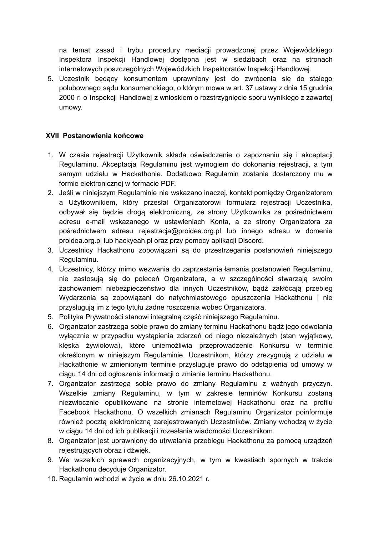na temat zasad i trybu procedury mediacji prowadzonej przez Wojewódzkiego Inspektora Inspekcji Handlowej dostępna jest w siedzibach oraz na stronach internetowych poszczególnych Wojewódzkich Inspektoratów Inspekcji Handlowej.

5. Uczestnik będący konsumentem uprawniony jest do zwrócenia się do stałego polubownego sądu konsumenckiego, o którym mowa w art. 37 ustawy z dnia 15 grudnia 2000 r. o Inspekcji Handlowej z wnioskiem o rozstrzygnięcie sporu wynikłego z zawartej umowy.

## **XVII Postanowienia końcowe**

- 1. W czasie rejestracji Użytkownik składa oświadczenie o zapoznaniu się i akceptacji Regulaminu. Akceptacja Regulaminu jest wymogiem do dokonania rejestracji, a tym samym udziału w Hackathonie. Dodatkowo Regulamin zostanie dostarczony mu w formie elektronicznej w formacie PDF.
- 2. Jeśli w niniejszym Regulaminie nie wskazano inaczej, kontakt pomiędzy Organizatorem a Użytkownikiem, który przesłał Organizatorowi formularz rejestracji Uczestnika, odbywał się będzie drogą elektroniczną, ze strony Użytkownika za pośrednictwem adresu e-mail wskazanego w ustawieniach Konta, a ze strony Organizatora za pośrednictwem adresu rejestracja@proidea.org.pl lub innego adresu w domenie proidea.org.pl lub hackyeah.pl oraz przy pomocy aplikacji Discord.
- 3. Uczestnicy Hackathonu zobowiązani są do przestrzegania postanowień niniejszego Regulaminu.
- 4. Uczestnicy, którzy mimo wezwania do zaprzestania łamania postanowień Regulaminu, nie zastosują się do poleceń Organizatora, a w szczególności stwarzają swoim zachowaniem niebezpieczeństwo dla innych Uczestników, bądź zakłócają przebieg Wydarzenia są zobowiązani do natychmiastowego opuszczenia Hackathonu i nie przysługują im z tego tytułu żadne roszczenia wobec Organizatora.
- 5. Polityka Prywatności stanowi integralną część niniejszego Regulaminu.
- 6. Organizator zastrzega sobie prawo do zmiany terminu Hackathonu bądź jego odwołania wyłącznie w przypadku wystąpienia zdarzeń od niego niezależnych (stan wyjątkowy, klęska żywiołowa), które uniemożliwia przeprowadzenie Konkursu w terminie określonym w niniejszym Regulaminie. Uczestnikom, którzy zrezygnują z udziału w Hackathonie w zmienionym terminie przysługuje prawo do odstąpienia od umowy w ciagu 14 dni od ogłoszenia informacii o zmianie terminu Hackathonu.
- 7. Organizator zastrzega sobie prawo do zmiany Regulaminu z ważnych przyczyn. Wszelkie zmiany Regulaminu, w tym w zakresie terminów Konkursu zostaną niezwłocznie opublikowane na stronie internetowej Hackathonu oraz na profilu Facebook Hackathonu. O wszelkich zmianach Regulaminu Organizator poinformuje również pocztą elektroniczną zarejestrowanych Uczestników. Zmiany wchodzą w życie w ciągu 14 dni od ich publikacji i rozesłania wiadomości Uczestnikom.
- 8. Organizator jest uprawniony do utrwalania przebiegu Hackathonu za pomocą urządzeń rejestrujących obraz i dźwięk.
- 9. We wszelkich sprawach organizacyjnych, w tym w kwestiach spornych w trakcie Hackathonu decyduje Organizator.
- 10. Regulamin wchodzi w życie w dniu 26.10.2021 r.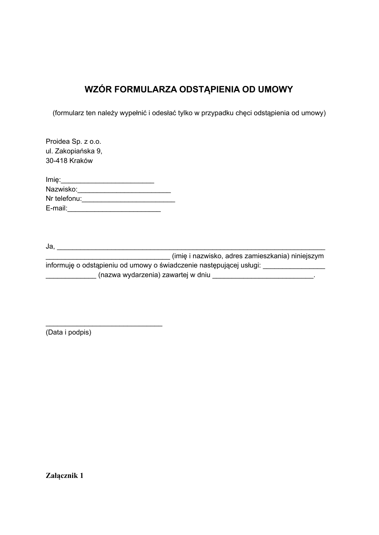## **WZÓR FORMULARZA ODSTĄPIENIA OD UMOWY**

(formularz ten należy wypełnić i odesłać tylko w przypadku chęci odstąpienia od umowy)

| Proidea Sp. z o.o.<br>ul. Zakopiańska 9,<br>30-418 Kraków |  |
|-----------------------------------------------------------|--|
| Imię:                                                     |  |
| Nazwisko:                                                 |  |
| Nr telefonu:                                              |  |
| E-mail:                                                   |  |

\_\_\_\_\_\_\_\_\_\_\_\_\_\_\_\_\_\_\_\_\_\_\_\_\_\_\_\_\_\_

Ja, \_\_\_\_\_\_\_\_\_\_\_\_\_\_\_\_\_\_\_\_\_\_\_\_\_\_\_\_\_\_\_\_\_\_\_\_\_\_\_\_\_\_\_\_\_\_\_\_\_\_\_\_\_\_\_\_\_\_\_\_\_\_\_\_\_\_\_\_\_ \_\_\_\_\_\_\_\_\_\_\_\_\_\_\_\_\_\_\_\_\_\_\_\_\_\_\_\_\_\_\_\_ (imię i nazwisko, adres zamieszkania) niniejszym informuję o odstąpieniu od umowy o świadczenie następującej usługi: \_\_\_\_\_\_\_\_\_\_\_\_\_\_\_\_ \_\_\_\_\_\_\_\_\_\_\_\_\_ (nazwa wydarzenia) zawartej w dniu \_\_\_\_\_\_\_\_\_\_\_\_\_\_\_\_\_\_\_\_\_\_\_\_\_\_.

(Data i podpis)

**Załącznik 1**